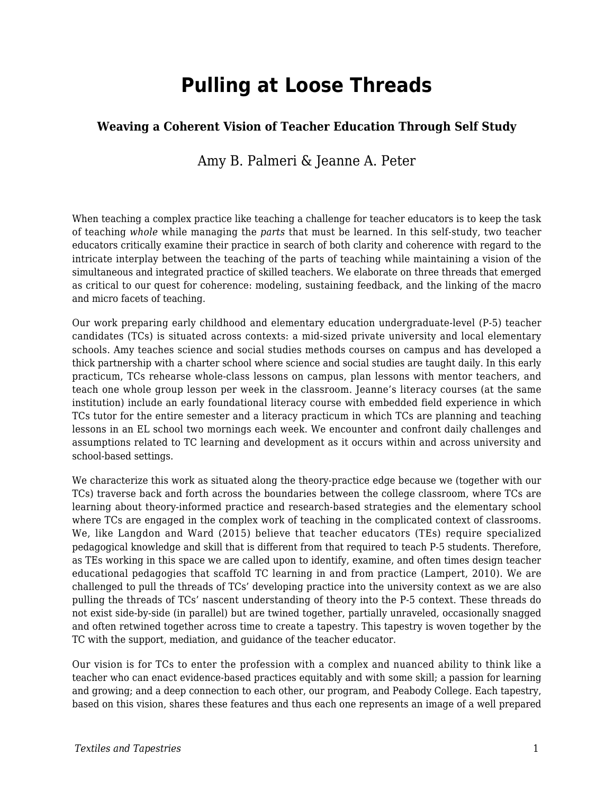# **Pulling at Loose Threads**

#### **Weaving a Coherent Vision of Teacher Education Through Self Study**

#### Amy B. Palmeri & Jeanne A. Peter

When teaching a complex practice like teaching a challenge for teacher educators is to keep the task of teaching *whole* while managing the *parts* that must be learned. In this self-study, two teacher educators critically examine their practice in search of both clarity and coherence with regard to the intricate interplay between the teaching of the parts of teaching while maintaining a vision of the simultaneous and integrated practice of skilled teachers. We elaborate on three threads that emerged as critical to our quest for coherence: modeling, sustaining feedback, and the linking of the macro and micro facets of teaching.

Our work preparing early childhood and elementary education undergraduate-level (P-5) teacher candidates (TCs) is situated across contexts: a mid-sized private university and local elementary schools. Amy teaches science and social studies methods courses on campus and has developed a thick partnership with a charter school where science and social studies are taught daily. In this early practicum, TCs rehearse whole-class lessons on campus, plan lessons with mentor teachers, and teach one whole group lesson per week in the classroom. Jeanne's literacy courses (at the same institution) include an early foundational literacy course with embedded field experience in which TCs tutor for the entire semester and a literacy practicum in which TCs are planning and teaching lessons in an EL school two mornings each week. We encounter and confront daily challenges and assumptions related to TC learning and development as it occurs within and across university and school-based settings.

We characterize this work as situated along the theory-practice edge because we (together with our TCs) traverse back and forth across the boundaries between the college classroom, where TCs are learning about theory-informed practice and research-based strategies and the elementary school where TCs are engaged in the complex work of teaching in the complicated context of classrooms. We, like Langdon and Ward (2015) believe that teacher educators (TEs) require specialized pedagogical knowledge and skill that is different from that required to teach P-5 students. Therefore, as TEs working in this space we are called upon to identify, examine, and often times design teacher educational pedagogies that scaffold TC learning in and from practice (Lampert, 2010). We are challenged to pull the threads of TCs' developing practice into the university context as we are also pulling the threads of TCs' nascent understanding of theory into the P-5 context. These threads do not exist side-by-side (in parallel) but are twined together, partially unraveled, occasionally snagged and often retwined together across time to create a tapestry. This tapestry is woven together by the TC with the support, mediation, and guidance of the teacher educator.

Our vision is for TCs to enter the profession with a complex and nuanced ability to think like a teacher who can enact evidence-based practices equitably and with some skill; a passion for learning and growing; and a deep connection to each other, our program, and Peabody College*.* Each tapestry, based on this vision, shares these features and thus each one represents an image of a well prepared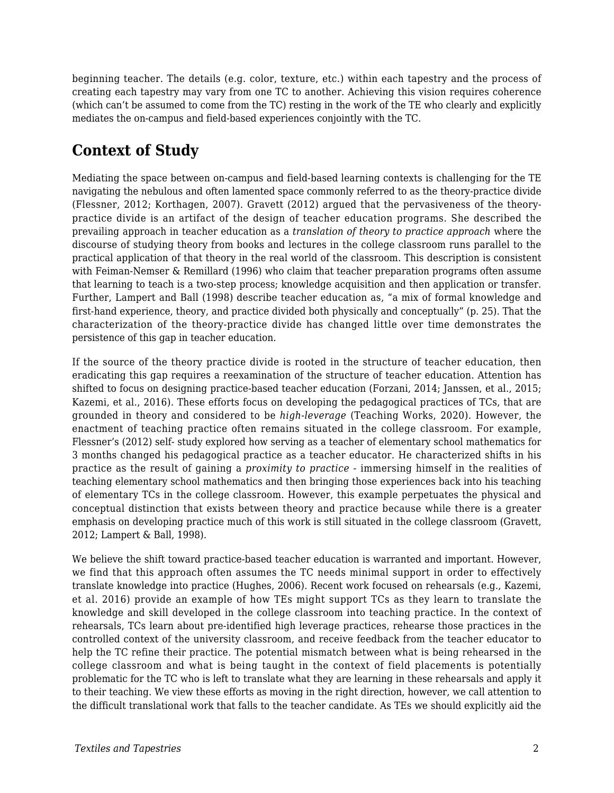beginning teacher. The details (e.g. color, texture, etc.) within each tapestry and the process of creating each tapestry may vary from one TC to another. Achieving this vision requires coherence (which can't be assumed to come from the TC) resting in the work of the TE who clearly and explicitly mediates the on-campus and field-based experiences conjointly with the TC.

# **Context of Study**

Mediating the space between on-campus and field-based learning contexts is challenging for the TE navigating the nebulous and often lamented space commonly referred to as the theory-practice divide (Flessner, 2012; Korthagen, 2007). Gravett (2012) argued that the pervasiveness of the theorypractice divide is an artifact of the design of teacher education programs. She described the prevailing approach in teacher education as a *translation of theory to practice approach* where the discourse of studying theory from books and lectures in the college classroom runs parallel to the practical application of that theory in the real world of the classroom. This description is consistent with Feiman-Nemser & Remillard (1996) who claim that teacher preparation programs often assume that learning to teach is a two-step process; knowledge acquisition and then application or transfer. Further, Lampert and Ball (1998) describe teacher education as, "a mix of formal knowledge and first-hand experience, theory, and practice divided both physically and conceptually" (p. 25). That the characterization of the theory-practice divide has changed little over time demonstrates the persistence of this gap in teacher education.

If the source of the theory practice divide is rooted in the structure of teacher education, then eradicating this gap requires a reexamination of the structure of teacher education. Attention has shifted to focus on designing practice-based teacher education (Forzani, 2014; Janssen, et al., 2015; Kazemi, et al., 2016). These efforts focus on developing the pedagogical practices of TCs, that are grounded in theory and considered to be *high-leverage* (Teaching Works, 2020). However, the enactment of teaching practice often remains situated in the college classroom. For example, Flessner's (2012) self- study explored how serving as a teacher of elementary school mathematics for 3 months changed his pedagogical practice as a teacher educator. He characterized shifts in his practice as the result of gaining a *proximity to practice* - immersing himself in the realities of teaching elementary school mathematics and then bringing those experiences back into his teaching of elementary TCs in the college classroom. However, this example perpetuates the physical and conceptual distinction that exists between theory and practice because while there is a greater emphasis on developing practice much of this work is still situated in the college classroom (Gravett, 2012; Lampert & Ball, 1998).

We believe the shift toward practice-based teacher education is warranted and important. However, we find that this approach often assumes the TC needs minimal support in order to effectively translate knowledge into practice (Hughes, 2006). Recent work focused on rehearsals (e.g., Kazemi, et al. 2016) provide an example of how TEs might support TCs as they learn to translate the knowledge and skill developed in the college classroom into teaching practice. In the context of rehearsals, TCs learn about pre-identified high leverage practices, rehearse those practices in the controlled context of the university classroom, and receive feedback from the teacher educator to help the TC refine their practice. The potential mismatch between what is being rehearsed in the college classroom and what is being taught in the context of field placements is potentially problematic for the TC who is left to translate what they are learning in these rehearsals and apply it to their teaching. We view these efforts as moving in the right direction, however, we call attention to the difficult translational work that falls to the teacher candidate. As TEs we should explicitly aid the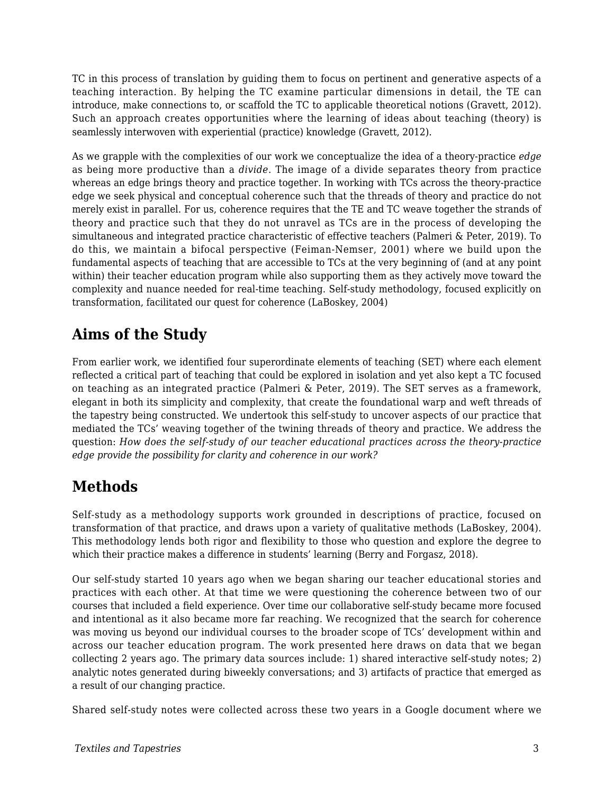TC in this process of translation by guiding them to focus on pertinent and generative aspects of a teaching interaction. By helping the TC examine particular dimensions in detail, the TE can introduce, make connections to, or scaffold the TC to applicable theoretical notions (Gravett, 2012). Such an approach creates opportunities where the learning of ideas about teaching (theory) is seamlessly interwoven with experiential (practice) knowledge (Gravett, 2012).

As we grapple with the complexities of our work we conceptualize the idea of a theory-practice *edge* as being more productive than a *divide*. The image of a divide separates theory from practice whereas an edge brings theory and practice together. In working with TCs across the theory-practice edge we seek physical and conceptual coherence such that the threads of theory and practice do not merely exist in parallel. For us, coherence requires that the TE and TC weave together the strands of theory and practice such that they do not unravel as TCs are in the process of developing the simultaneous and integrated practice characteristic of effective teachers (Palmeri & Peter, 2019). To do this, we maintain a bifocal perspective (Feiman-Nemser, 2001) where we build upon the fundamental aspects of teaching that are accessible to TCs at the very beginning of (and at any point within) their teacher education program while also supporting them as they actively move toward the complexity and nuance needed for real-time teaching. Self-study methodology, focused explicitly on transformation, facilitated our quest for coherence (LaBoskey, 2004)

## **Aims of the Study**

From earlier work, we identified four superordinate elements of teaching (SET) where each element reflected a critical part of teaching that could be explored in isolation and yet also kept a TC focused on teaching as an integrated practice (Palmeri & Peter, 2019). The SET serves as a framework, elegant in both its simplicity and complexity, that create the foundational warp and weft threads of the tapestry being constructed. We undertook this self-study to uncover aspects of our practice that mediated the TCs' weaving together of the twining threads of theory and practice. We address the question: *How does the self-study of our teacher educational practices across the theory-practice edge provide the possibility for clarity and coherence in our work?*

# **Methods**

Self-study as a methodology supports work grounded in descriptions of practice, focused on transformation of that practice, and draws upon a variety of qualitative methods (LaBoskey, 2004). This methodology lends both rigor and flexibility to those who question and explore the degree to which their practice makes a difference in students' learning (Berry and Forgasz, 2018).

Our self-study started 10 years ago when we began sharing our teacher educational stories and practices with each other. At that time we were questioning the coherence between two of our courses that included a field experience. Over time our collaborative self-study became more focused and intentional as it also became more far reaching. We recognized that the search for coherence was moving us beyond our individual courses to the broader scope of TCs' development within and across our teacher education program. The work presented here draws on data that we began collecting 2 years ago. The primary data sources include: 1) shared interactive self-study notes; 2) analytic notes generated during biweekly conversations; and 3) artifacts of practice that emerged as a result of our changing practice.

Shared self-study notes were collected across these two years in a Google document where we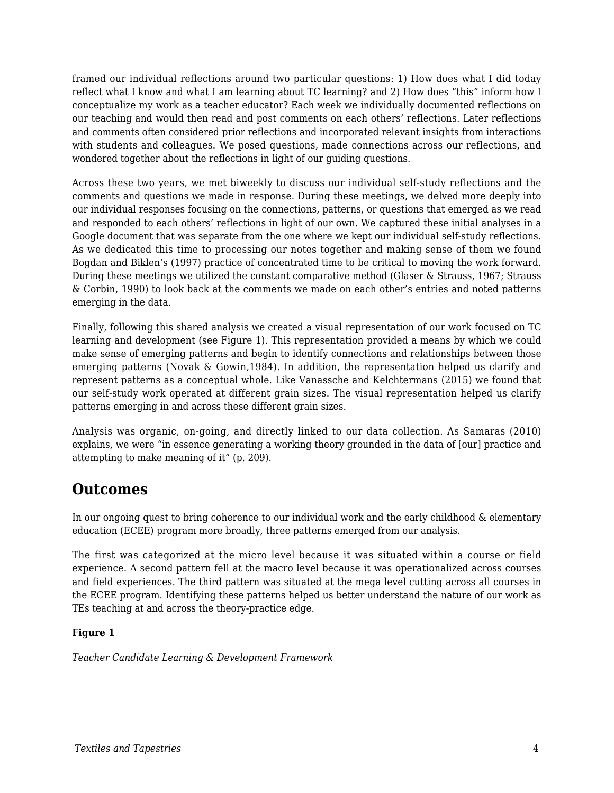framed our individual reflections around two particular questions: 1) How does what I did today reflect what I know and what I am learning about TC learning? and 2) How does "this" inform how I conceptualize my work as a teacher educator? Each week we individually documented reflections on our teaching and would then read and post comments on each others' reflections. Later reflections and comments often considered prior reflections and incorporated relevant insights from interactions with students and colleagues. We posed questions, made connections across our reflections, and wondered together about the reflections in light of our guiding questions.

Across these two years, we met biweekly to discuss our individual self-study reflections and the comments and questions we made in response. During these meetings, we delved more deeply into our individual responses focusing on the connections, patterns, or questions that emerged as we read and responded to each others' reflections in light of our own. We captured these initial analyses in a Google document that was separate from the one where we kept our individual self-study reflections. As we dedicated this time to processing our notes together and making sense of them we found Bogdan and Biklen's (1997) practice of concentrated time to be critical to moving the work forward. During these meetings we utilized the constant comparative method (Glaser & Strauss, 1967; Strauss & Corbin, 1990) to look back at the comments we made on each other's entries and noted patterns emerging in the data.

Finally, following this shared analysis we created a visual representation of our work focused on TC learning and development (see Figure 1). This representation provided a means by which we could make sense of emerging patterns and begin to identify connections and relationships between those emerging patterns (Novak & Gowin,1984). In addition, the representation helped us clarify and represent patterns as a conceptual whole. Like Vanassche and Kelchtermans (2015) we found that our self-study work operated at different grain sizes. The visual representation helped us clarify patterns emerging in and across these different grain sizes.

Analysis was organic, on-going, and directly linked to our data collection. As Samaras (2010) explains, we were "in essence generating a working theory grounded in the data of [our] practice and attempting to make meaning of it" (p. 209).

### **Outcomes**

In our ongoing quest to bring coherence to our individual work and the early childhood & elementary education (ECEE) program more broadly, three patterns emerged from our analysis.

The first was categorized at the micro level because it was situated within a course or field experience. A second pattern fell at the macro level because it was operationalized across courses and field experiences. The third pattern was situated at the mega level cutting across all courses in the ECEE program. Identifying these patterns helped us better understand the nature of our work as TEs teaching at and across the theory-practice edge.

#### **Figure 1**

*Teacher Candidate Learning & Development Framework*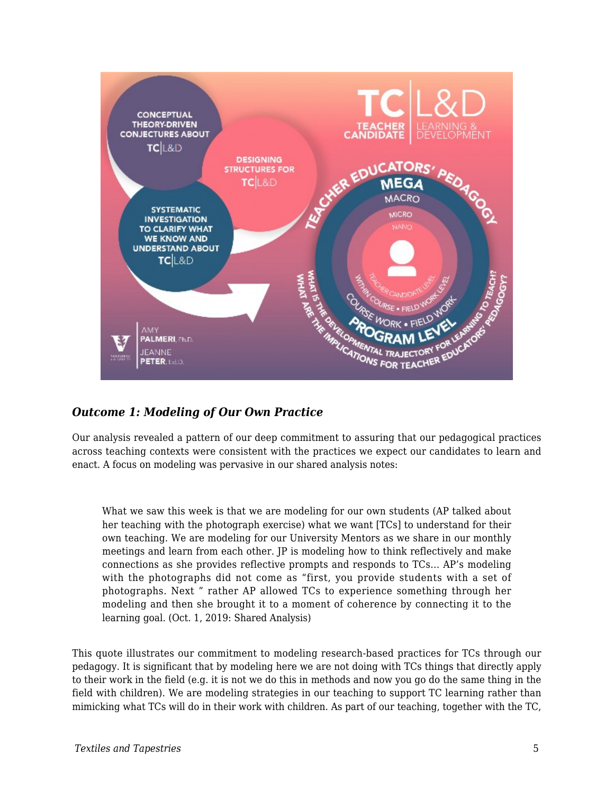

#### *Outcome 1: Modeling of Our Own Practice*

Our analysis revealed a pattern of our deep commitment to assuring that our pedagogical practices across teaching contexts were consistent with the practices we expect our candidates to learn and enact. A focus on modeling was pervasive in our shared analysis notes:

What we saw this week is that we are modeling for our own students (AP talked about her teaching with the photograph exercise) what we want [TCs] to understand for their own teaching. We are modeling for our University Mentors as we share in our monthly meetings and learn from each other. JP is modeling how to think reflectively and make connections as she provides reflective prompts and responds to TCs... AP's modeling with the photographs did not come as "first, you provide students with a set of photographs. Next " rather AP allowed TCs to experience something through her modeling and then she brought it to a moment of coherence by connecting it to the learning goal. (Oct. 1, 2019: Shared Analysis)

This quote illustrates our commitment to modeling research-based practices for TCs through our pedagogy. It is significant that by modeling here we are not doing with TCs things that directly apply to their work in the field (e.g. it is not we do this in methods and now you go do the same thing in the field with children). We are modeling strategies in our teaching to support TC learning rather than mimicking what TCs will do in their work with children. As part of our teaching, together with the TC,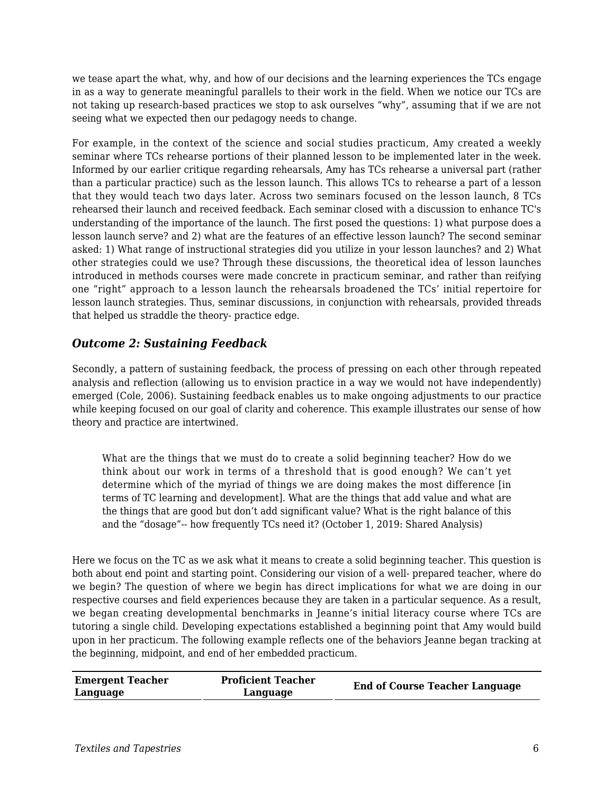we tease apart the what, why, and how of our decisions and the learning experiences the TCs engage in as a way to generate meaningful parallels to their work in the field. When we notice our TCs are not taking up research-based practices we stop to ask ourselves "why", assuming that if we are not seeing what we expected then our pedagogy needs to change.

For example, in the context of the science and social studies practicum, Amy created a weekly seminar where TCs rehearse portions of their planned lesson to be implemented later in the week. Informed by our earlier critique regarding rehearsals, Amy has TCs rehearse a universal part (rather than a particular practice) such as the lesson launch. This allows TCs to rehearse a part of a lesson that they would teach two days later. Across two seminars focused on the lesson launch, 8 TCs rehearsed their launch and received feedback. Each seminar closed with a discussion to enhance TC's understanding of the importance of the launch. The first posed the questions: 1) what purpose does a lesson launch serve? and 2) what are the features of an effective lesson launch? The second seminar asked: 1) What range of instructional strategies did you utilize in your lesson launches? and 2) What other strategies could we use? Through these discussions, the theoretical idea of lesson launches introduced in methods courses were made concrete in practicum seminar, and rather than reifying one "right" approach to a lesson launch the rehearsals broadened the TCs' initial repertoire for lesson launch strategies. Thus, seminar discussions, in conjunction with rehearsals, provided threads that helped us straddle the theory- practice edge.

#### *Outcome 2: Sustaining Feedback*

Secondly, a pattern of sustaining feedback, the process of pressing on each other through repeated analysis and reflection (allowing us to envision practice in a way we would not have independently) emerged (Cole, 2006). Sustaining feedback enables us to make ongoing adjustments to our practice while keeping focused on our goal of clarity and coherence. This example illustrates our sense of how theory and practice are intertwined.

What are the things that we must do to create a solid beginning teacher? How do we think about our work in terms of a threshold that is good enough? We can't yet determine which of the myriad of things we are doing makes the most difference [in terms of TC learning and development]. What are the things that add value and what are the things that are good but don't add significant value? What is the right balance of this and the "dosage"-- how frequently TCs need it? (October 1, 2019: Shared Analysis)

Here we focus on the TC as we ask what it means to create a solid beginning teacher. This question is both about end point and starting point. Considering our vision of a well- prepared teacher, where do we begin? The question of where we begin has direct implications for what we are doing in our respective courses and field experiences because they are taken in a particular sequence. As a result, we began creating developmental benchmarks in Jeanne's initial literacy course where TCs are tutoring a single child. Developing expectations established a beginning point that Amy would build upon in her practicum. The following example reflects one of the behaviors Jeanne began tracking at the beginning, midpoint, and end of her embedded practicum.

| <b>Emergent Teacher</b><br>Language | <b>Proficient Teacher</b><br>Language | <b>End of Course Teacher Language</b> |
|-------------------------------------|---------------------------------------|---------------------------------------|
|-------------------------------------|---------------------------------------|---------------------------------------|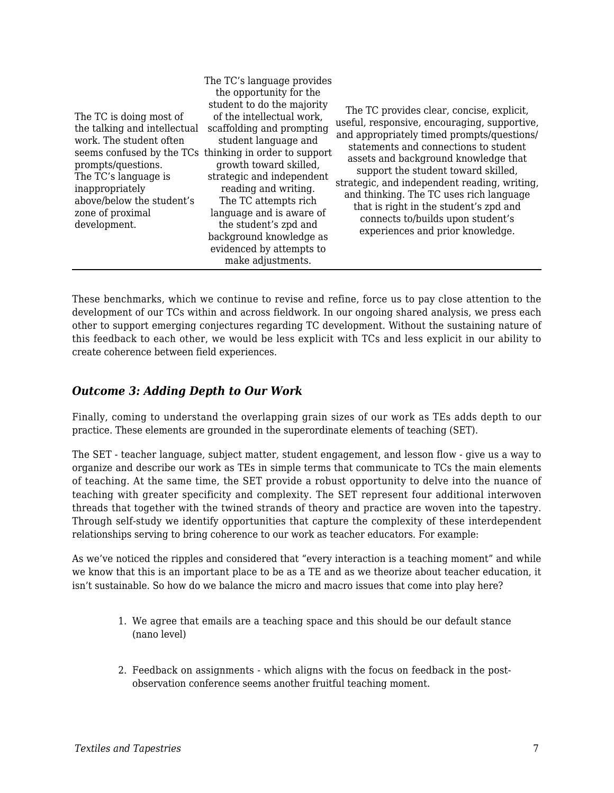| The TC is doing most of<br>the talking and intellectual<br>work. The student often<br>prompts/questions.<br>The TC's language is<br>inappropriately<br>above/below the student's<br>zone of proximal<br>development. | The TC's language provides<br>the opportunity for the<br>student to do the majority<br>of the intellectual work,<br>scaffolding and prompting<br>student language and<br>seems confused by the TCs thinking in order to support<br>growth toward skilled,<br>strategic and independent<br>reading and writing.<br>The TC attempts rich<br>language and is aware of<br>the student's zpd and<br>background knowledge as<br>evidenced by attempts to<br>make adjustments. | The TC provides clear, concise, explicit,<br>useful, responsive, encouraging, supportive,<br>and appropriately timed prompts/questions/<br>statements and connections to student<br>assets and background knowledge that<br>support the student toward skilled,<br>strategic, and independent reading, writing,<br>and thinking. The TC uses rich language<br>that is right in the student's zpd and<br>connects to/builds upon student's<br>experiences and prior knowledge. |
|----------------------------------------------------------------------------------------------------------------------------------------------------------------------------------------------------------------------|-------------------------------------------------------------------------------------------------------------------------------------------------------------------------------------------------------------------------------------------------------------------------------------------------------------------------------------------------------------------------------------------------------------------------------------------------------------------------|-------------------------------------------------------------------------------------------------------------------------------------------------------------------------------------------------------------------------------------------------------------------------------------------------------------------------------------------------------------------------------------------------------------------------------------------------------------------------------|
|----------------------------------------------------------------------------------------------------------------------------------------------------------------------------------------------------------------------|-------------------------------------------------------------------------------------------------------------------------------------------------------------------------------------------------------------------------------------------------------------------------------------------------------------------------------------------------------------------------------------------------------------------------------------------------------------------------|-------------------------------------------------------------------------------------------------------------------------------------------------------------------------------------------------------------------------------------------------------------------------------------------------------------------------------------------------------------------------------------------------------------------------------------------------------------------------------|

These benchmarks, which we continue to revise and refine, force us to pay close attention to the development of our TCs within and across fieldwork. In our ongoing shared analysis, we press each other to support emerging conjectures regarding TC development. Without the sustaining nature of this feedback to each other, we would be less explicit with TCs and less explicit in our ability to create coherence between field experiences.

#### *Outcome 3: Adding Depth to Our Work*

Finally, coming to understand the overlapping grain sizes of our work as TEs adds depth to our practice. These elements are grounded in the superordinate elements of teaching (SET).

The SET - teacher language, subject matter, student engagement, and lesson flow - give us a way to organize and describe our work as TEs in simple terms that communicate to TCs the main elements of teaching. At the same time, the SET provide a robust opportunity to delve into the nuance of teaching with greater specificity and complexity. The SET represent four additional interwoven threads that together with the twined strands of theory and practice are woven into the tapestry. Through self-study we identify opportunities that capture the complexity of these interdependent relationships serving to bring coherence to our work as teacher educators. For example:

As we've noticed the ripples and considered that "every interaction is a teaching moment" and while we know that this is an important place to be as a TE and as we theorize about teacher education, it isn't sustainable. So how do we balance the micro and macro issues that come into play here?

- 1. We agree that emails are a teaching space and this should be our default stance (nano level)
- 2. Feedback on assignments which aligns with the focus on feedback in the postobservation conference seems another fruitful teaching moment.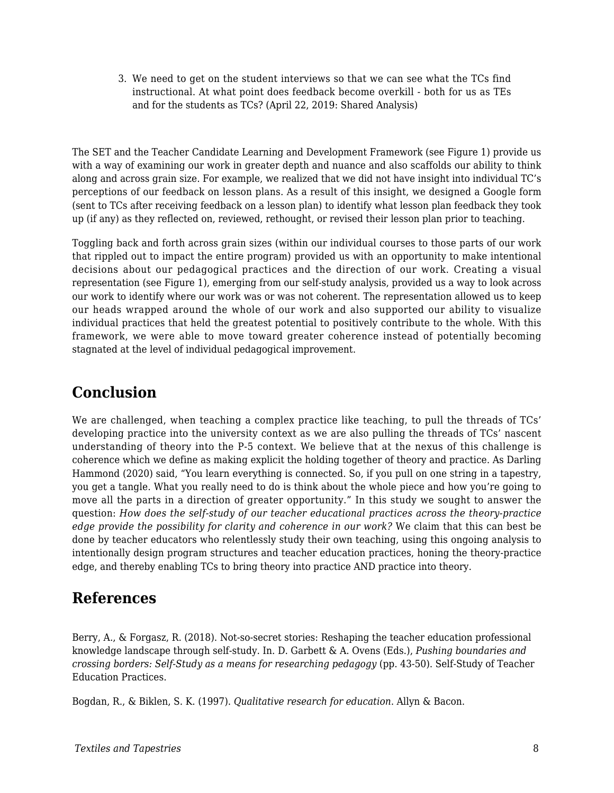3. We need to get on the student interviews so that we can see what the TCs find instructional. At what point does feedback become overkill - both for us as TEs and for the students as TCs? (April 22, 2019: Shared Analysis)

The SET and the Teacher Candidate Learning and Development Framework (see Figure 1) provide us with a way of examining our work in greater depth and nuance and also scaffolds our ability to think along and across grain size. For example, we realized that we did not have insight into individual TC's perceptions of our feedback on lesson plans. As a result of this insight, we designed a Google form (sent to TCs after receiving feedback on a lesson plan) to identify what lesson plan feedback they took up (if any) as they reflected on, reviewed, rethought, or revised their lesson plan prior to teaching.

Toggling back and forth across grain sizes (within our individual courses to those parts of our work that rippled out to impact the entire program) provided us with an opportunity to make intentional decisions about our pedagogical practices and the direction of our work. Creating a visual representation (see Figure 1), emerging from our self-study analysis, provided us a way to look across our work to identify where our work was or was not coherent. The representation allowed us to keep our heads wrapped around the whole of our work and also supported our ability to visualize individual practices that held the greatest potential to positively contribute to the whole. With this framework, we were able to move toward greater coherence instead of potentially becoming stagnated at the level of individual pedagogical improvement.

### **Conclusion**

We are challenged, when teaching a complex practice like teaching, to pull the threads of TCs' developing practice into the university context as we are also pulling the threads of TCs' nascent understanding of theory into the P-5 context. We believe that at the nexus of this challenge is coherence which we define as making explicit the holding together of theory and practice. As Darling Hammond (2020) said, "You learn everything is connected. So, if you pull on one string in a tapestry, you get a tangle. What you really need to do is think about the whole piece and how you're going to move all the parts in a direction of greater opportunity." In this study we sought to answer the question: *How does the self-study of our teacher educational practices across the theory-practice edge provide the possibility for clarity and coherence in our work?* We claim that this can best be done by teacher educators who relentlessly study their own teaching, using this ongoing analysis to intentionally design program structures and teacher education practices, honing the theory-practice edge, and thereby enabling TCs to bring theory into practice AND practice into theory.

### **References**

Berry, A., & Forgasz, R. (2018). Not-so-secret stories: Reshaping the teacher education professional knowledge landscape through self-study. In. D. Garbett & A. Ovens (Eds.), *Pushing boundaries and crossing borders: Self-Study as a means for researching pedagogy* (pp. 43-50). Self-Study of Teacher Education Practices.

Bogdan, R., & Biklen, S. K. (1997). *Qualitative research for education*. Allyn & Bacon.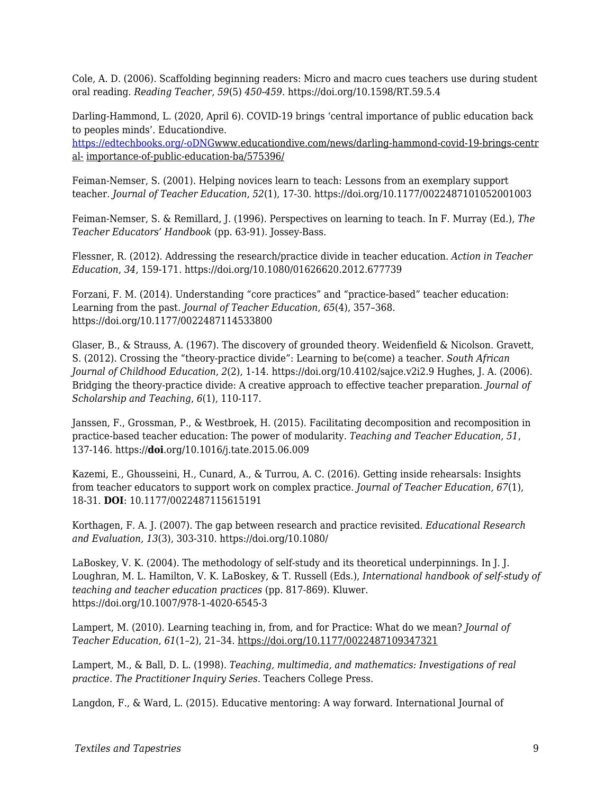Cole, A. D. (2006). Scaffolding beginning readers: Micro and macro cues teachers use during student oral reading. *Reading Teacher*, *59*(5) *450-459.* https://doi.org/10.1598/RT.59.5.4

Darling-Hammond, L. (2020, April 6). COVID-19 brings 'central importance of public education back to peoples minds'. Educationdive.

[https://edtechbooks.org/-oDNG](http://www.educationdive.com/news/darling-hammond-covid-19-brings-central-)www.educationdive.com/news/darling-hammond-covid-19-brings-centr al- importance-of-public-education-ba/575396/

Feiman-Nemser, S. (2001). Helping novices learn to teach: Lessons from an exemplary support teacher. *Journal of Teacher Education*, *52*(1), 17-30. https://doi.org/10.1177/0022487101052001003

Feiman-Nemser, S. & Remillard, J. (1996). Perspectives on learning to teach. In F. Murray (Ed.), *The Teacher Educators' Handbook* (pp. 63-91). Jossey-Bass.

Flessner, R. (2012). Addressing the research/practice divide in teacher education. *Action in Teacher Education*, *34*, 159-171. https://doi.org/10.1080/01626620.2012.677739

Forzani, F. M. (2014). Understanding "core practices" and "practice-based" teacher education: Learning from the past. *Journal of Teacher Education*, *65*(4), 357–368. https://doi.org/10.1177/0022487114533800

Glaser, B., & Strauss, A. (1967). The discovery of grounded theory. Weidenfield & Nicolson. Gravett, S. (2012). Crossing the "theory-practice divide": Learning to be(come) a teacher. *South African Journal of Childhood Education*, *2*(2), 1-14. https://doi.org/10.4102/sajce.v2i2.9 Hughes, J. A. (2006). Bridging the theory-practice divide: A creative approach to effective teacher preparation. *Journal of Scholarship and Teaching*, *6*(1), 110-117.

Janssen, F., Grossman, P., & Westbroek, H. (2015). Facilitating decomposition and recomposition in practice-based teacher education: The power of modularity. *Teaching and Teacher Education*, *51*, 137-146. https://**doi**.org/10.1016/j.tate.2015.06.009

Kazemi, E., Ghousseini, H., Cunard, A., & Turrou, A. C. (2016). Getting inside rehearsals: Insights from teacher educators to support work on complex practice. *Journal of Teacher Education, 67*(1), 18-31. **DOI**: 10.1177/0022487115615191

Korthagen, F. A. J. (2007). The gap between research and practice revisited. *Educational Research and Evaluation, 13*(3), 303-310. https://doi.org/10.1080/

LaBoskey, V. K. (2004). The methodology of self-study and its theoretical underpinnings. In J. J. Loughran, M. L. Hamilton, V. K. LaBoskey, & T. Russell (Eds.), *International handbook of self-study of teaching and teacher education practices* (pp. 817-869). Kluwer. https://doi.org/10.1007/978-1-4020-6545-3

Lampert, M. (2010). Learning teaching in, from, and for Practice: What do we mean? *Journal of Teacher Education*, *61*(1–2), 21–34. https://doi.org/10.1177/0022487109347321

Lampert, M., & Ball, D. L. (1998). *Teaching, multimedia, and mathematics: Investigations of real practice. The Practitioner Inquiry Series*. Teachers College Press.

Langdon, F., & Ward, L. (2015). Educative mentoring: A way forward. International Journal of